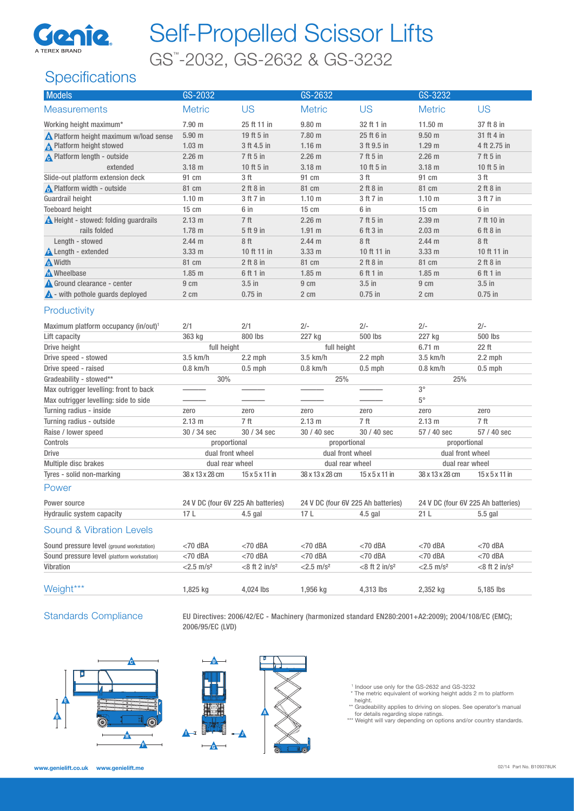

# Self-Propelled Scissor Lifts

GS™ -2032, GS-2632 & GS-3232

## **Specifications**

| Models                                                                            | GS-2032                            |                            | GS-2632                            |                            | GS-3232                            |                            |
|-----------------------------------------------------------------------------------|------------------------------------|----------------------------|------------------------------------|----------------------------|------------------------------------|----------------------------|
| <b>Measurements</b>                                                               | <b>Metric</b>                      | <b>US</b>                  | <b>Metric</b>                      | <b>US</b>                  | <b>Metric</b>                      | <b>US</b>                  |
| Working height maximum*                                                           | 7.90 m                             | 25 ft 11 in                | $9.80$ m                           | 32 ft 1 in                 | 11.50 m                            | 37 ft 8 in                 |
| N Platform height maximum w/load sense                                            | $5.90$ m                           | 19 ft 5 in                 | 7.80 m                             | 25 ft 6 in                 | 9.50 <sub>m</sub>                  | 31 ft 4 in                 |
| <b>A</b> Platform height stowed                                                   | 1.03 <sub>m</sub>                  | 3 ft 4.5 in                | 1.16 <sub>m</sub>                  | 3 ft 9.5 in                | 1.29 <sub>m</sub>                  | 4 ft 2.75 in               |
| <b>A</b> Platform length - outside                                                | 2.26 <sub>m</sub>                  | 7 ft 5 in                  | $2.26$ m                           | 7 ft 5 in                  | $2.26$ m                           | 7 ft 5 in                  |
| extended                                                                          | 3.18 <sub>m</sub>                  | 10 ft 5 in                 | $3.18$ m                           | 10 ft 5 in                 | $3.18$ m                           | 10 ft 5 in                 |
| Slide-out platform extension deck                                                 | 91 cm                              | 3 ft                       | 91 cm                              | 3 ft                       | 91 cm                              | 3 ft                       |
| Platform width - outside                                                          | 81 cm                              | $2$ ft $8$ in              | 81 cm                              | $2$ ft $8$ in              | 81 cm                              | $2$ ft $8$ in              |
| Guardrail height                                                                  | 1.10 <sub>m</sub>                  | 3 ft 7 in                  | 1.10 m                             | 3 ft 7 in                  | 1.10 m                             | 3 ft 7 in                  |
| <b>Toeboard height</b>                                                            | $15 \text{ cm}$                    | 6 in                       | $15 \text{ cm}$                    | 6 in                       | $15 \text{ cm}$                    | 6 in                       |
| A Height - stowed: folding guardrails                                             | 2.13 m                             | 7 ft                       | $2.26$ m                           | 7 ft 5 in                  | 2.39 <sub>m</sub>                  | 7 ft 10 in                 |
| rails folded                                                                      | 1.78 <sub>m</sub>                  | 5 ft 9 in                  | $1.91$ m                           | 6 ft 3 in                  | $2.03$ m                           | 6 ft 8 in                  |
| Length - stowed                                                                   | 2.44 <sub>m</sub>                  | 8ft                        | 2.44 <sub>m</sub>                  | 8 ft                       | 2.44 m                             | 8ft                        |
| <b>A</b> Length - extended                                                        | 3.33 <sub>m</sub>                  | 10 ft 11 in                | 3.33 <sub>m</sub>                  | 10 ft 11 in                | 3.33 <sub>m</sub>                  | 10 ft 11 in                |
| <b>A</b> Width                                                                    | 81 cm                              | $2$ ft $8$ in              | 81 cm                              | $2$ ft $8$ in              | 81 cm                              | $2$ ft $8$ in              |
| Mheelbase                                                                         | $1.85$ m                           | 6 ft 1 in                  | $1.85$ m                           | 6 ft 1 in                  | $1.85$ m                           | 6 ft 1 in                  |
| Ground clearance - center                                                         | 9 cm                               | $3.5$ in                   | 9 cm                               | $3.5$ in                   | 9 cm                               | $3.5$ in                   |
| $\triangle$ - with pothole guards deployed                                        | 2 cm                               | $0.75$ in                  | 2 cm                               | $0.75$ in                  | 2 cm                               | $0.75$ in                  |
| Productivity<br>Maximum platform occupancy (in/out) <sup>1</sup><br>Lift capacity | 2/1<br>363 kg                      | 2/1<br>800 lbs             | $2/-$<br>227 kg                    | $2/-$<br>500 lbs           | $2/-$<br>227 kg                    | $2/-$<br>500 lbs           |
| Drive height                                                                      | full height                        |                            | full height                        |                            | 6.71 m                             | 22 ft                      |
| Drive speed - stowed                                                              | 3.5 km/h                           | $2.2$ mph                  | 3.5 km/h                           | $2.2$ mph                  | 3.5 km/h                           | $2.2$ mph                  |
| Drive speed - raised                                                              | $0.8$ km/h                         | $0.5$ mph                  | $0.8$ km/h                         | $0.5$ mph                  | $0.8$ km/h                         | $0.5$ mph                  |
| Gradeability - stowed**                                                           | 30%                                |                            | 25%                                |                            | 25%                                |                            |
| Max outrigger levelling: front to back                                            |                                    |                            |                                    |                            | $3^{\circ}$                        |                            |
| Max outrigger levelling: side to side                                             |                                    |                            |                                    |                            | $5^{\circ}$                        |                            |
| Turning radius - inside                                                           | zero                               | zero                       | zero                               | zero                       | zero                               | zero                       |
| Turning radius - outside                                                          | 2.13 m                             | 7 ft                       | 2.13 m                             | 7 ft                       | 2.13 m                             | 7 ft                       |
| Raise / lower speed                                                               | 30 / 34 sec                        | 30 / 34 sec                | 30 / 40 sec                        | 30 / 40 sec                | 57 / 40 sec                        | 57 / 40 sec                |
| Controls                                                                          | proportional                       |                            | proportional                       |                            | proportional                       |                            |
| <b>Drive</b>                                                                      | dual front wheel                   |                            | dual front wheel                   |                            | dual front wheel                   |                            |
| Multiple disc brakes                                                              | dual rear wheel                    |                            | dual rear wheel                    |                            | dual rear wheel                    |                            |
| Tyres - solid non-marking                                                         | 38 x 13 x 28 cm                    | $15 \times 5 \times 11$ in | 38 x 13 x 28 cm                    | $15 \times 5 \times 11$ in | 38 x 13 x 28 cm                    | $15 \times 5 \times 11$ in |
| Power                                                                             |                                    |                            |                                    |                            |                                    |                            |
| Power source                                                                      | 24 V DC (four 6V 225 Ah batteries) |                            | 24 V DC (four 6V 225 Ah batteries) |                            | 24 V DC (four 6V 225 Ah batteries) |                            |
| Hydraulic system capacity                                                         | 17L                                | $4.5$ gal                  | 17L                                | $4.5$ gal                  | 21 L                               | $5.5$ gal                  |
| <b>Sound &amp; Vibration Levels</b>                                               |                                    |                            |                                    |                            |                                    |                            |
| Sound pressure level (ground workstation)                                         | $<$ 70 dBA                         | $<$ 70 dBA                 | $<$ 70 dBA                         | $<$ 70 dBA                 | $<$ 70 dBA                         | $<$ 70 dBA                 |
| Sound pressure level (platform workstation)                                       | $<$ 70 dBA                         | $<$ 70 dBA                 | $<$ 70 dBA                         | $<$ 70 dBA                 | $<$ 70 dBA                         | $<$ 70 dBA                 |
| Vibration                                                                         | $<$ 2.5 m/s <sup>2</sup>           | $<8$ ft 2 in/ $s^2$        | $<$ 2.5 m/s <sup>2</sup>           | $<8$ ft 2 in/ $s^2$        | $<$ 2.5 m/s <sup>2</sup>           | $<8$ ft 2 in/ $s^2$        |
| Weight***                                                                         | 1,825 kg                           | 4,024 lbs                  | 1,956 kg                           | 4,313 lbs                  | 2,352 kg                           | 5,185 lbs                  |
|                                                                                   |                                    |                            |                                    |                            |                                    |                            |

Standards Compliance EU Directives: 2006/42/EC - Machinery (harmonized standard EN280:2001+A2:2009); 2004/108/EC (EMC); 2006/95/EC (LVD)







1 Indoor use only for the GS-2632 and GS-3232 \* The metric equivalent of working height adds 2 m to platform

height.

\*\* Gradeability applies to driving on slopes. See operator's manual<br>for details regarding slope ratings.<br>\*\*\* Weight will vary depending on options and/or country standards.